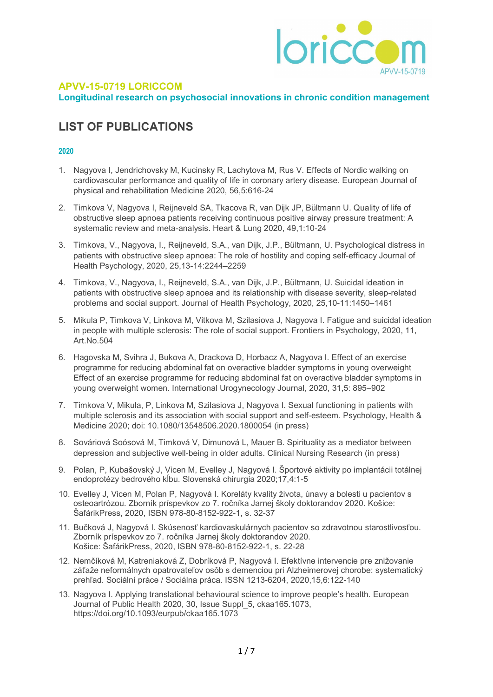

## APVV-15-0719 LORICCOM

Longitudinal research on psychosocial innovations in chronic condition management

# LIST OF PUBLICATIONS

- 1. Nagyova I, Jendrichovsky M, Kucinsky R, Lachytova M, Rus V. Effects of Nordic walking on cardiovascular performance and quality of life in coronary artery disease. European Journal of physical and rehabilitation Medicine 2020, 56,5:616-24
- 2. Timkova V, Nagyova I, Reijneveld SA, Tkacova R, van Dijk JP, Bültmann U. Quality of life of obstructive sleep apnoea patients receiving continuous positive airway pressure treatment: A systematic review and meta-analysis. Heart & Lung 2020, 49,1:10-24
- 3. Timkova, V., Nagyova, I., Reijneveld, S.A., van Dijk, J.P., Bültmann, U. Psychological distress in patients with obstructive sleep apnoea: The role of hostility and coping self-efficacy Journal of Health Psychology, 2020, 25,13-14:2244–2259
- 4. Timkova, V., Nagyova, I., Reijneveld, S.A., van Dijk, J.P., Bültmann, U. Suicidal ideation in patients with obstructive sleep apnoea and its relationship with disease severity, sleep-related problems and social support. Journal of Health Psychology, 2020, 25,10-11:1450–1461
- 5. Mikula P, Timkova V, Linkova M, Vitkova M, Szilasiova J, Nagyova I. Fatigue and suicidal ideation in people with multiple sclerosis: The role of social support. Frontiers in Psychology, 2020, 11, Art.No.504
- 6. Hagovska M, Svihra J, Bukova A, Drackova D, Horbacz A, Nagyova I. Effect of an exercise programme for reducing abdominal fat on overactive bladder symptoms in young overweight Effect of an exercise programme for reducing abdominal fat on overactive bladder symptoms in young overweight women. International Urogynecology Journal, 2020, 31,5: 895–902
- 7. Timkova V, Mikula, P, Linkova M, Szilasiova J, Nagyova I. Sexual functioning in patients with multiple sclerosis and its association with social support and self-esteem. Psychology, Health & Medicine 2020; doi: 10.1080/13548506.2020.1800054 (in press)
- 8. Sováriová Soósová M, Timková V, Dimunová L, Mauer B. Spirituality as a mediator between depression and subjective well-being in older adults. Clinical Nursing Research (in press)
- 9. Polan, P, Kubašovský J, Vicen M, Evelley J, Nagyová I. Športové aktivity po implantácii totálnej endoprotézy bedrového kĺbu. Slovenská chirurgia 2020;17,4:1-5
- 10. Evelley J, Vicen M, Polan P, Nagyová I. Koreláty kvality života, únavy a bolesti u pacientov s osteoartrózou. Zborník príspevkov zo 7. ročníka Jarnej školy doktorandov 2020. Košice: ŠafárikPress, 2020, ISBN 978-80-8152-922-1, s. 32-37
- 11. Bučková J, Nagyová I. Skúsenosť kardiovaskulárnych pacientov so zdravotnou starostlivosťou. Zborník príspevkov zo 7. ročníka Jarnej školy doktorandov 2020. Košice: ŠafárikPress, 2020, ISBN 978-80-8152-922-1, s. 22-28
- 12. Nemčíková M, Katreniaková Z, Dobríková P, Nagyová I. Efektívne intervencie pre znižovanie záťaže neformálnych opatrovateľov osôb s demenciou pri Alzheimerovej chorobe: systematický prehľad. Sociální práce / Sociálna práca. ISSN 1213-6204, 2020,15,6:122-140
- 13. Nagyova I. Applying translational behavioural science to improve people's health. European Journal of Public Health 2020, 30, Issue Suppl\_5, ckaa165.1073, https://doi.org/10.1093/eurpub/ckaa165.1073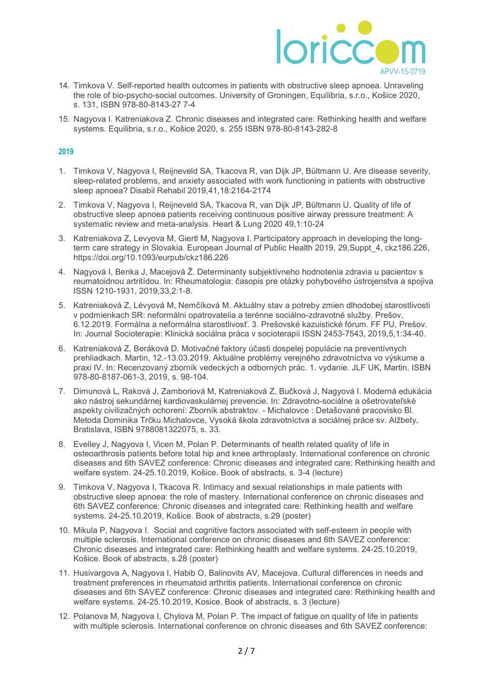

- 14. Timkova V. Self-reported health outcomes in patients with obstructive sleep apnoea. Unraveling the role of bio-psycho-social outcomes. University of Groningen, Equilibria, s.r.o., Košice 2020, s. 131, ISBN 978-80-8143-27 7-4
- 15. Nagyova I. Katreniakova Z. Chronic diseases and integrated care: Rethinking health and welfare systems. Equilibria, s.r.o., Košice 2020, s. 255 ISBN 978-80-8143-282-8

- 1. Timkova V, Nagyova I, Reijneveld SA, Tkacova R, van Dijk JP, Bültmann U. Are disease severity, sleep-related problems, and anxiety associated with work functioning in patients with obstructive sleep apnoea? Disabil Rehabil 2019,41,18:2164-2174
- 2. Timkova V, Nagyova I, Reijneveld SA, Tkacova R, van Dijk JP, Bültmann U. Quality of life of obstructive sleep apnoea patients receiving continuous positive airway pressure treatment: A systematic review and meta-analysis. Heart & Lung 2020 49,1:10-24
- 3. Katreniakova Z, Levyova M, Giertl M, Nagyova I. Participatory approach in developing the longterm care strategy in Slovakia. European Journal of Public Health 2019, 29,Suppt\_4, ckz186.226, https://doi.org/10.1093/eurpub/ckz186.226
- 4. Nagyová I, Benka J, Macejová Ž. Determinanty subjektívneho hodnotenia zdravia u pacientov s reumatoidnou artritídou. In: Rheumatologia: časopis pre otázky pohybového ústrojenstva a spojiva ISSN 1210-1931, 2019,33,2:1-8.
- 5. Katreniaková Z, Lévyová M, Nemčíková M. Aktuálny stav a potreby zmien dlhodobej starostlivosti v podmienkach SR: neformálni opatrovatelia a terénne sociálno-zdravotné služby. Prešov, 6.12.2019. Formálna a neformálna starostlivosť. 3. Prešovské kazuistické fórum. FF PU, Prešov. In: Journal Socioterapie: Klinická sociálna práca v socioterapii ISSN 2453-7543, 2019,5,1:34-40.
- 6. Katreniaková Z, Beráková D. Motivačné faktory účasti dospelej populácie na preventívnych prehliadkach. Martin, 12.-13.03.2019. Aktuálne problémy verejného zdravotníctva vo výskume a praxi IV. In: Recenzovaný zborník vedeckých a odborných prác. 1. vydanie. JLF UK, Martin. ISBN 978-80-8187-061-3, 2019, s. 98-104.
- 7. Dimunová L, Raková J, Zamboriová M, Katreniaková Z, Bučková J, Nagyová I. Moderná edukácia ako nástroj sekundárnej kardiovaskulárnej prevencie. In: Zdravotno-sociálne a ošetrovateľské aspekty civilizačných ochorení: Zborník abstraktov. - Michalovce : Detašované pracovisko Bl. Metoda Dominika Trčku Michalovce, Vysoká škola zdravotníctva a sociálnej práce sv. Alžbety, Bratislava, ISBN 9788081322075, s. 33.
- 8. Evelley J, Nagyova I, Vicen M, Polan P. Determinants of health related quality of life in osteoarthrosis patients before total hip and knee arthroplasty. International conference on chronic diseases and 6th SAVEZ conference: Chronic diseases and integrated care: Rethinking health and welfare system. 24-25.10.2019, Košice. Book of abstracts, s. 3-4 (lecture)
- 9. Timkova V, Nagyova I, Tkacova R. Intimacy and sexual relationships in male patients with obstructive sleep apnoea: the role of mastery. International conference on chronic diseases and 6th SAVEZ conference: Chronic diseases and integrated care: Rethinking health and welfare systems. 24-25.10.2019, Košice. Book of abstracts, s.29 (poster)
- 10. Mikula P, Nagyova I. Social and cognitive factors associated with self-esteem in people with multiple sclerosis. International conference on chronic diseases and 6th SAVEZ conference: Chronic diseases and integrated care: Rethinking health and welfare systems. 24-25.10.2019, Košice. Book of abstracts, s.28 (poster)
- 11. Husivargova A, Nagyova I, Habib O, Balinovits AV, Macejova. Cultural differences in needs and treatment preferences in rheumatoid arthritis patients. International conference on chronic diseases and 6th SAVEZ conference: Chronic diseases and integrated care: Rethinking health and welfare systems. 24-25.10.2019, Kosice. Book of abstracts, s. 3 (lecture)
- 12. Polanova M, Nagyova I, Chylova M, Polan P. The impact of fatigue on quality of life in patients with multiple sclerosis. International conference on chronic diseases and 6th SAVEZ conference: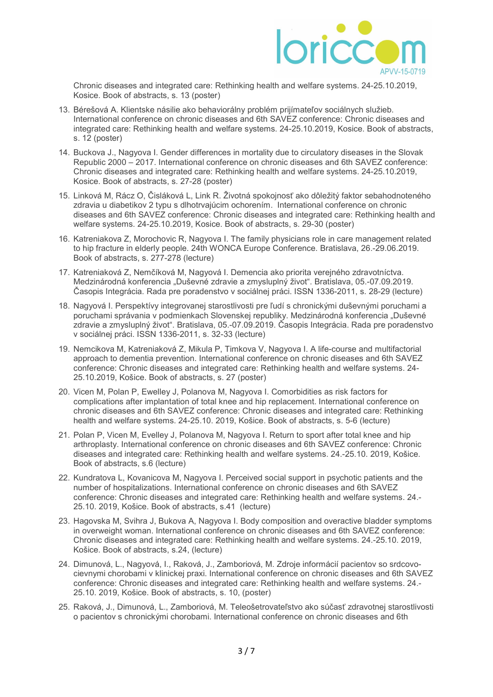

Chronic diseases and integrated care: Rethinking health and welfare systems. 24-25.10.2019, Kosice. Book of abstracts, s. 13 (poster)

- 13. Bérešová A. Klientske násilie ako behaviorálny problém prijímateľov sociálnych služieb. International conference on chronic diseases and 6th SAVEZ conference: Chronic diseases and integrated care: Rethinking health and welfare systems. 24-25.10.2019, Kosice. Book of abstracts, s. 12 (poster)
- 14. Buckova J., Nagyova I. Gender differences in mortality due to circulatory diseases in the Slovak Republic 2000 – 2017. International conference on chronic diseases and 6th SAVEZ conference: Chronic diseases and integrated care: Rethinking health and welfare systems. 24-25.10.2019, Kosice. Book of abstracts, s. 27-28 (poster)
- 15. Linková M, Rácz O, Čisláková L, Link R. Životná spokojnosť ako dôležitý faktor sebahodnoteného zdravia u diabetikov 2 typu s dlhotrvajúcim ochorením. International conference on chronic diseases and 6th SAVEZ conference: Chronic diseases and integrated care: Rethinking health and welfare systems. 24-25.10.2019, Kosice. Book of abstracts, s. 29-30 (poster)
- 16. Katreniakova Z, Morochovic R, Nagyova I. The family physicians role in care management related to hip fracture in elderly people. 24th WONCA Europe Conference. Bratislava, 26.-29.06.2019. Book of abstracts, s. 277-278 (lecture)
- 17. Katreniaková Z, Nemčíková M, Nagyová I. Demencia ako priorita verejného zdravotníctva. Medzinárodná konferencia "Duševné zdravie a zmysluplný život". Bratislava, 05.-07.09.2019. Časopis Integrácia. Rada pre poradenstvo v sociálnej práci. ISSN 1336-2011, s. 28-29 (lecture)
- 18. Nagyová I. Perspektívy integrovanej starostlivosti pre ľudí s chronickými duševnými poruchami a poruchami správania v podmienkach Slovenskej republiky. Medzinárodná konferencia "Duševné zdravie a zmysluplný život". Bratislava, 05.-07.09.2019. Časopis Integrácia. Rada pre poradenstvo v sociálnej práci. ISSN 1336-2011, s. 32-33 (lecture)
- 19. Nemcikova M, Katreniaková Z, Mikula P, Timkova V, Nagyova I. A life-course and multifactorial approach to dementia prevention. International conference on chronic diseases and 6th SAVEZ conference: Chronic diseases and integrated care: Rethinking health and welfare systems. 24- 25.10.2019, Košice. Book of abstracts, s. 27 (poster)
- 20. Vicen M, Polan P, Ewelley J, Polanova M, Nagyova I. Comorbidities as risk factors for complications after implantation of total knee and hip replacement. International conference on chronic diseases and 6th SAVEZ conference: Chronic diseases and integrated care: Rethinking health and welfare systems. 24-25.10. 2019, Košice. Book of abstracts, s. 5-6 (lecture)
- 21. Polan P, Vicen M, Evelley J, Polanova M, Nagyova I. Return to sport after total knee and hip arthroplasty. International conference on chronic diseases and 6th SAVEZ conference: Chronic diseases and integrated care: Rethinking health and welfare systems. 24.-25.10. 2019, Košice. Book of abstracts, s.6 (lecture)
- 22. Kundratova L, Kovanicova M, Nagyova I. Perceived social support in psychotic patients and the number of hospitalizations. International conference on chronic diseases and 6th SAVEZ conference: Chronic diseases and integrated care: Rethinking health and welfare systems. 24.- 25.10. 2019, Košice. Book of abstracts, s.41 (lecture)
- 23. Hagovska M, Svihra J, Bukova A, Nagyova I. Body composition and overactive bladder symptoms in overweight woman. International conference on chronic diseases and 6th SAVEZ conference: Chronic diseases and integrated care: Rethinking health and welfare systems. 24.-25.10. 2019, Košice. Book of abstracts, s.24, (lecture)
- 24. Dimunová, L., Nagyová, I., Raková, J., Zamboriová, M. Zdroje informácií pacientov so srdcovocievnymi chorobami v klinickej praxi. International conference on chronic diseases and 6th SAVEZ conference: Chronic diseases and integrated care: Rethinking health and welfare systems. 24.- 25.10. 2019, Košice. Book of abstracts, s. 10, (poster)
- 25. Raková, J., Dimunová, L., Zamboriová, M. Teleošetrovateľstvo ako súčasť zdravotnej starostlivosti o pacientov s chronickými chorobami. International conference on chronic diseases and 6th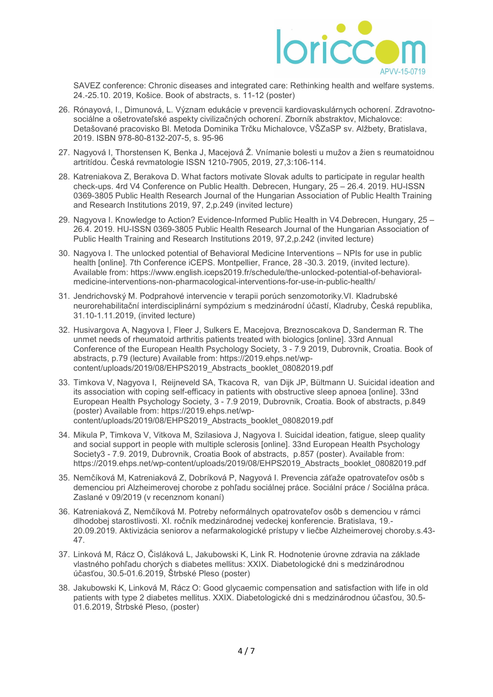

SAVEZ conference: Chronic diseases and integrated care: Rethinking health and welfare systems. 24.-25.10. 2019, Košice. Book of abstracts, s. 11-12 (poster)

- 26. Rónayová, I., Dimunová, L. Význam edukácie v prevencii kardiovaskulárnych ochorení. Zdravotnosociálne a ošetrovateľské aspekty civilizačných ochorení. Zborník abstraktov, Michalovce: Detašované pracovisko Bl. Metoda Dominika Trčku Michalovce, VŠZaSP sv. Alžbety, Bratislava, 2019. ISBN 978-80-8132-207-5, s. 95-96
- 27. Nagyová I, Thorstensen K, Benka J, Macejová Ž. Vnímanie bolesti u mužov a žien s reumatoidnou artritídou. Česká revmatologie ISSN 1210-7905, 2019, 27,3:106-114.
- 28. Katreniakova Z, Berakova D. What factors motivate Slovak adults to participate in regular health check-ups. 4rd V4 Conference on Public Health. Debrecen, Hungary, 25 – 26.4. 2019. HU-ISSN 0369-3805 Public Health Research Journal of the Hungarian Association of Public Health Training and Research Institutions 2019, 97, 2,p.249 (invited lecture)
- 29. Nagyova I. Knowledge to Action? Evidence-Informed Public Health in V4.Debrecen, Hungary, 25 26.4. 2019. HU-ISSN 0369-3805 Public Health Research Journal of the Hungarian Association of Public Health Training and Research Institutions 2019, 97,2,p.242 (invited lecture)
- 30. Nagyova I. The unlocked potential of Behavioral Medicine Interventions NPIs for use in public health [online]. 7th Conference iCEPS. Montpellier, France, 28-30.3. 2019. (invited lecture). Available from: https://www.english.iceps2019.fr/schedule/the-unlocked-potential-of-behavioralmedicine-interventions-non-pharmacological-interventions-for-use-in-public-health/
- 31. Jendrichovský M. Podprahové intervencie v terapii porúch senzomotoriky.VI. Kladrubské neurorehabilitační interdisciplinární sympózium s medzinárodní účastí, Kladruby, Česká republika, 31.10-1.11.2019, (invited lecture)
- 32. Husivargova A, Nagyova I, Fleer J, Sulkers E, Macejova, Breznoscakova D, Sanderman R. The unmet needs of rheumatoid arthritis patients treated with biologics [online]. 33rd Annual Conference of the European Health Psychology Society, 3 - 7.9 2019, Dubrovnik, Croatia. Book of abstracts, p.79 (lecture) Available from: https://2019.ehps.net/wpcontent/uploads/2019/08/EHPS2019\_Abstracts\_booklet\_08082019.pdf
- 33. Timkova V, Nagyova I, Reijneveld SA, Tkacova R, van Dijk JP, Bültmann U. Suicidal ideation and its association with coping self-efficacy in patients with obstructive sleep apnoea [online]. 33nd European Health Psychology Society, 3 - 7.9 2019, Dubrovnik, Croatia. Book of abstracts, p.849 (poster) Available from: https://2019.ehps.net/wpcontent/uploads/2019/08/EHPS2019\_Abstracts\_booklet\_08082019.pdf
- 34. Mikula P, Timkova V, Vitkova M, Szilasiova J, Nagyova I. Suicidal ideation, fatigue, sleep quality and social support in people with multiple sclerosis [online]. 33nd European Health Psychology Society3 - 7.9. 2019, Dubrovnik, Croatia Book of abstracts, p.857 (poster). Available from: https://2019.ehps.net/wp-content/uploads/2019/08/EHPS2019\_Abstracts\_booklet\_08082019.pdf
- 35. Nemčíková M, Katreniaková Z, Dobríková P, Nagyová I. Prevencia záťaže opatrovateľov osôb s demenciou pri Alzheimerovej chorobe z pohľadu sociálnej práce. Sociální práce / Sociálna práca. Zaslané v 09/2019 (v recenznom konaní)
- 36. Katreniaková Z, Nemčíková M. Potreby neformálnych opatrovateľov osôb s demenciou v rámci dlhodobej starostlivosti. XI. ročník medzinárodnej vedeckej konferencie. Bratislava, 19.- 20.09.2019. Aktivizácia seniorov a nefarmakologické prístupy v liečbe Alzheimerovej choroby.s.43- 47.
- 37. Linková M, Rácz O, Čisláková L, Jakubowski K, Link R. Hodnotenie úrovne zdravia na základe vlastného pohľadu chorých s diabetes mellitus: XXIX. Diabetologické dni s medzinárodnou účasťou, 30.5-01.6.2019, Štrbské Pleso (poster)
- 38. Jakubowski K, Linková M, Rácz O: Good glycaemic compensation and satisfaction with life in old patients with type 2 diabetes mellitus. XXIX. Diabetologické dni s medzinárodnou účasťou, 30.5- 01.6.2019, Štrbské Pleso, (poster)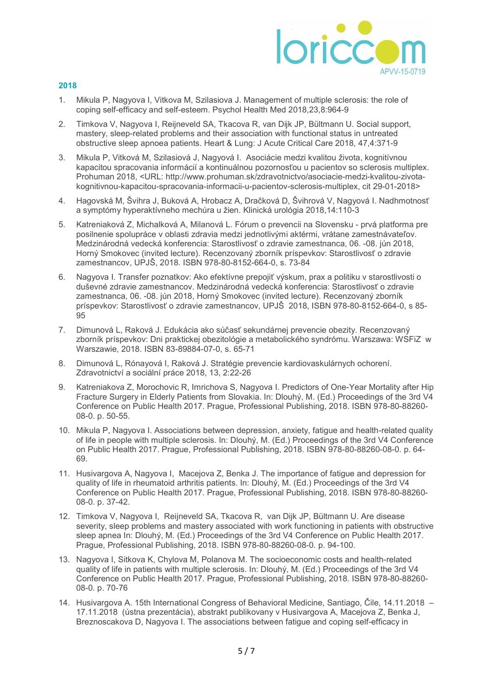

- 1. Mikula P, Nagyova I, Vitkova M, Szilasiova J. Management of multiple sclerosis: the role of coping self-efficacy and self-esteem. Psychol Health Med 2018,23,8:964-9
- 2. Timkova V, Nagyova I, Reijneveld SA, Tkacova R, van Dijk JP, Bültmann U. Social support, mastery, sleep-related problems and their association with functional status in untreated obstructive sleep apnoea patients. Heart & Lung: J Acute Critical Care 2018, 47,4:371-9
- 3. Mikula P, Vitková M, Szilasiová J, Nagyová I. Asociácie medzi kvalitou života, kognitívnou kapacitou spracovania informácií a kontinuálnou pozornosťou u pacientov so sclerosis multiplex. Prohuman 2018, <URL: http://www.prohuman.sk/zdravotnictvo/asociacie-medzi-kvalitou-zivotakognitivnou-kapacitou-spracovania-informacii-u-pacientov-sclerosis-multiplex, cit 29-01-2018>
- 4. Hagovská M, Švihra J, Buková A, Hrobacz A, Dračková D, Švihrová V, Nagyová I. Nadhmotnosť a symptómy hyperaktívneho mechúra u žien. Klinická urológia 2018,14:110-3
- 5. Katreniaková Z, Michalková A, Milanová L. Fórum o prevencii na Slovensku prvá platforma pre posilnenie spolupráce v oblasti zdravia medzi jednotlivými aktérmi, vrátane zamestnávateľov. Medzinárodná vedecká konferencia: Starostlivosť o zdravie zamestnanca, 06. -08. jún 2018, Horný Smokovec (invited lecture). Recenzovaný zborník príspevkov: Starostlivosť o zdravie zamestnancov, UPJŠ, 2018. ISBN 978-80-8152-664-0, s. 73-84
- 6. Nagyova I. Transfer poznatkov: Ako efektívne prepojiť výskum, prax a politiku v starostlivosti o duševné zdravie zamestnancov. Medzinárodná vedecká konferencia: Starostlivosť o zdravie zamestnanca, 06. -08. jún 2018, Horný Smokovec (invited lecture). Recenzovaný zborník príspevkov: Starostlivosť o zdravie zamestnancov, UPJŠ 2018, ISBN 978-80-8152-664-0, s 85- 95
- 7. Dimunová L, Raková J. Edukácia ako súčasť sekundárnej prevencie obezity. Recenzovaný zborník príspevkov: Dni praktickej obezitológie a metabolického syndrómu. Warszawa: WSFiZ w Warszawie, 2018. ISBN 83-89884-07-0, s. 65-71
- 8. Dimunová L, Rónayová I, Raková J. Stratégie prevencie kardiovaskulárnych ochorení. Zdravotnictví a sociální práce 2018, 13, 2:22-26
- 9. Katreniakova Z, Morochovic R, Imrichova S, Nagyova I. Predictors of One-Year Mortality after Hip Fracture Surgery in Elderly Patients from Slovakia. In: Dlouhý, M. (Ed.) Proceedings of the 3rd V4 Conference on Public Health 2017. Prague, Professional Publishing, 2018. ISBN 978-80-88260- 08-0. p. 50-55.
- 10. Mikula P, Nagyova I. Associations between depression, anxiety, fatigue and health-related quality of life in people with multiple sclerosis. In: Dlouhý, M. (Ed.) Proceedings of the 3rd V4 Conference on Public Health 2017. Prague, Professional Publishing, 2018. ISBN 978-80-88260-08-0. p. 64- 69.
- 11. Husivargova A, Nagyova I, Macejova Z, Benka J. The importance of fatigue and depression for quality of life in rheumatoid arthritis patients. In: Dlouhý, M. (Ed.) Proceedings of the 3rd V4 Conference on Public Health 2017. Prague, Professional Publishing, 2018. ISBN 978-80-88260- 08-0. p. 37-42.
- 12. Timkova V, Nagyova I, Reijneveld SA, Tkacova R, van Dijk JP, Bültmann U. Are disease severity, sleep problems and mastery associated with work functioning in patients with obstructive sleep apnea In: Dlouhý, M. (Ed.) Proceedings of the 3rd V4 Conference on Public Health 2017. Prague, Professional Publishing, 2018. ISBN 978-80-88260-08-0. p. 94-100.
- 13. Nagyova I, Sitkova K, Chylova M, Polanova M. The socioeconomic costs and health-related quality of life in patients with multiple sclerosis. In: Dlouhý, M. (Ed.) Proceedings of the 3rd V4 Conference on Public Health 2017. Prague, Professional Publishing, 2018. ISBN 978-80-88260- 08-0. p. 70-76
- 14. Husivargova A. 15th International Congress of Behavioral Medicine, Santiago, Čile, 14.11.2018 17.11.2018 (ústna prezentácia), abstrakt publikovany v Husivargova A, Macejova Z, Benka J, Breznoscakova D, Nagyova I. The associations between fatigue and coping self-efficacy in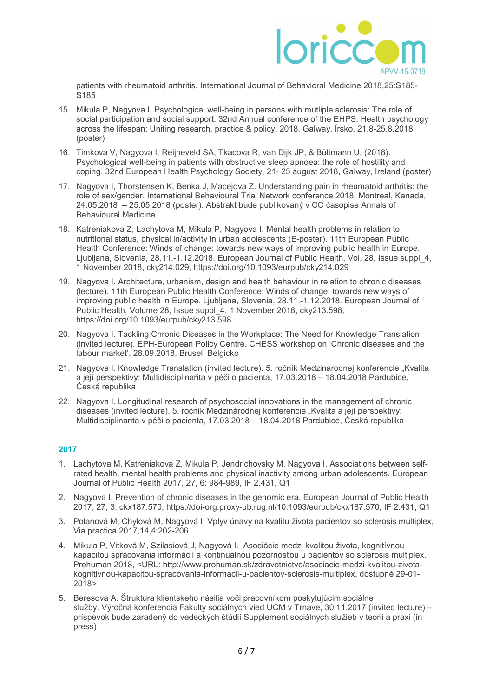

patients with rheumatoid arthritis. International Journal of Behavioral Medicine 2018,25:S185- S185

- 15. Mikula P, Nagyova I. Psychological well-being in persons with mutliple sclerosis: The role of social participation and social support. 32nd Annual conference of the EHPS: Health psychology across the lifespan: Uniting research, practice & policy. 2018, Galway, Írsko, 21.8-25.8.2018 (poster)
- 16. Timkova V, Nagyova I, Reijneveld SA, Tkacova R, van Dijk JP, & Bültmann U. (2018). Psychological well-being in patients with obstructive sleep apnoea: the role of hostility and coping. 32nd European Health Psychology Society, 21- 25 august 2018, Galway, Ireland (poster)
- 17. Nagyova I, Thorstensen K, Benka J, Macejova Z. Understanding pain in rheumatoid arthritis: the role of sex/gender. International Behavioural Trial Network conference 2018, Montreal, Kanada, 24.05.2018 – 25.05.2018 (poster). Abstrakt bude publikovaný v CC časopise Annals of Behavioural Medicine
- 18. Katreniakova Z, Lachytova M, Mikula P, Nagyova I. Mental health problems in relation to nutritional status, physical in/activity in urban adolescents (E-poster). 11th European Public Health Conference: Winds of change: towards new ways of improving public health in Europe. Ljubljana, Slovenia, 28.11.-1.12.2018. European Journal of Public Health, Vol. 28, Issue suppl\_4, 1 November 2018, cky214.029, https://doi.org/10.1093/eurpub/cky214.029
- 19. Nagyova I. Architecture, urbanism, design and health behaviour in relation to chronic diseases (lecture). 11th European Public Health Conference: Winds of change: towards new ways of improving public health in Europe. Ljubljana, Slovenia, 28.11.-1.12.2018. European Journal of Public Health, Volume 28, Issue suppl\_4, 1 November 2018, cky213.598, https://doi.org/10.1093/eurpub/cky213.598
- 20. Nagyova I. Tackling Chronic Diseases in the Workplace: The Need for Knowledge Translation (invited lecture). EPH-European Policy Centre. CHESS workshop on 'Chronic diseases and the labour market', 28.09.2018, Brusel, Belgicko
- 21. Nagyova I. Knowledge Translation (invited lecture). 5. ročník Medzinárodnej konferencie "Kvalita a její perspektivy: Multidisciplinarita v péči o pacienta, 17.03.2018 – 18.04.2018 Pardubice, Česká republika
- 22. Nagyova I. Longitudinal research of psychosocial innovations in the management of chronic diseases (invited lecture). 5. ročník Medzinárodnej konferencie "Kvalita a její perspektivy: Multidisciplinarita v péči o pacienta, 17.03.2018 – 18.04.2018 Pardubice, Česká republika

- 1. Lachytova M, Katreniakova Z, Mikula P, Jendrichovsky M, Nagyova I. Associations between selfrated health, mental health problems and physical inactivity among urban adolescents. European Journal of Public Health 2017, 27, 6: 984-989, IF 2.431, Q1
- 2. Nagyova I. Prevention of chronic diseases in the genomic era. European Journal of Public Health 2017, 27, 3: ckx187.570, https://doi-org.proxy-ub.rug.nl/10.1093/eurpub/ckx187.570, IF 2.431, Q1
- 3. Polanová M, Chylová M, Nagyová I. Vplyv únavy na kvalitu života pacientov so sclerosis multiplex, Via practica 2017,14,4:202-206
- 4. Mikula P, Vitková M, Szilasiová J, Nagyová I. Asociácie medzi kvalitou života, kognitívnou kapacitou spracovania informácií a kontinuálnou pozornosťou u pacientov so sclerosis multiplex. Prohuman 2018, <URL: http://www.prohuman.sk/zdravotnictvo/asociacie-medzi-kvalitou-zivotakognitivnou-kapacitou-spracovania-informacii-u-pacientov-sclerosis-multiplex, dostupné 29-01- 2018>
- 5. Beresova A. Štruktúra klientskeho násilia voči pracovníkom poskytujúcim sociálne služby. Výročná konferencia Fakulty sociálnych vied UCM v Trnave, 30.11.2017 (invited lecture) – príspevok bude zaradený do vedeckých štúdií Supplement sociálnych služieb v teórii a praxi (in press)